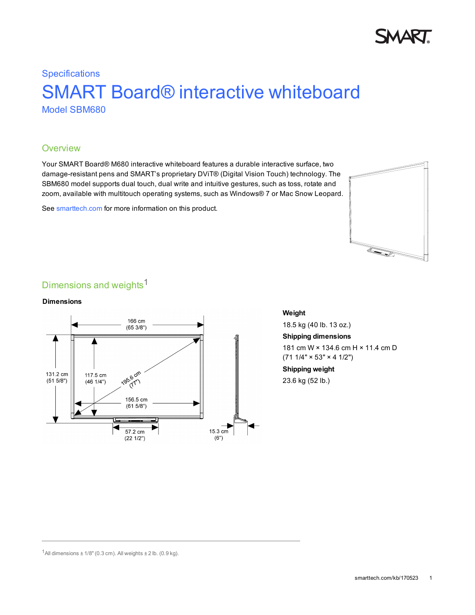

# **Specifications** SMART Board® interactive whiteboard Model SBM680

### **Overview**

Your SMART Board® M680 interactive whiteboard features a durable interactive surface, two damage-resistant pens and SMART's proprietary DViT® (Digital Vision Touch) technology. The SBM680 model supports dual touch, dual write and intuitive gestures, such as toss, rotate and zoom, available with multitouch operating systems, such as Windows® 7 or Mac Snow Leopard.

See [smarttech.com](http://www.smarttech.com/Support/Browse+Support/Product+Index/Hardware+Products/Front+Projection+SMART+Board+Interactive+Whiteboard/M600+and+M600V+series) for more information on this product.



## Dimensions and weights<sup>1</sup>

#### **Dimensions**



### **Weight**

18.5 kg (40 lb. 13 oz.)

**Shipping dimensions**

181 cm W × 134.6 cm H × 11.4 cm D  $(711/4" \times 53" \times 41/2")$ 

**Shipping weight** 23.6 kg (52 lb.)

 $1$ All dimensions  $\pm$  1/8" (0.3 cm). All weights  $\pm$  2 lb. (0.9 kg).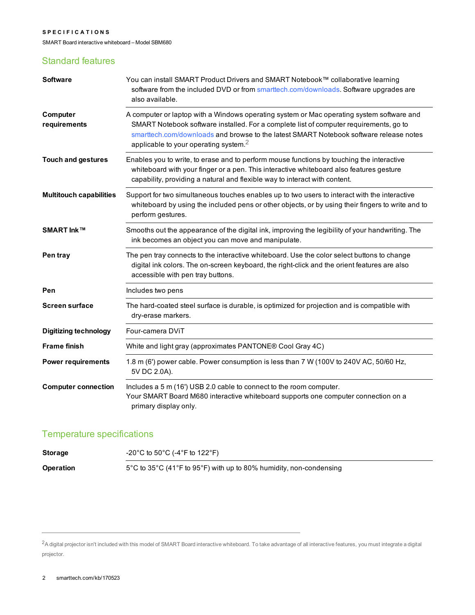#### **S P E C I F I C A T I O N S**

SMART Board interactive whiteboard – Model SBM680

### Standard features

| <b>Software</b>                | You can install SMART Product Drivers and SMART Notebook™ collaborative learning<br>software from the included DVD or from smarttech.com/downloads. Software upgrades are<br>also available.                                                                                                                              |
|--------------------------------|---------------------------------------------------------------------------------------------------------------------------------------------------------------------------------------------------------------------------------------------------------------------------------------------------------------------------|
| Computer<br>requirements       | A computer or laptop with a Windows operating system or Mac operating system software and<br>SMART Notebook software installed. For a complete list of computer requirements, go to<br>smarttech.com/downloads and browse to the latest SMART Notebook software release notes<br>applicable to your operating system. $2$ |
| <b>Touch and gestures</b>      | Enables you to write, to erase and to perform mouse functions by touching the interactive<br>whiteboard with your finger or a pen. This interactive whiteboard also features gesture<br>capability, providing a natural and flexible way to interact with content.                                                        |
| <b>Multitouch capabilities</b> | Support for two simultaneous touches enables up to two users to interact with the interactive<br>whiteboard by using the included pens or other objects, or by using their fingers to write and to<br>perform gestures.                                                                                                   |
| SMART Ink™                     | Smooths out the appearance of the digital ink, improving the legibility of your handwriting. The<br>ink becomes an object you can move and manipulate.                                                                                                                                                                    |
| Pen tray                       | The pen tray connects to the interactive whiteboard. Use the color select buttons to change<br>digital ink colors. The on-screen keyboard, the right-click and the orient features are also<br>accessible with pen tray buttons.                                                                                          |
| Pen                            | Includes two pens                                                                                                                                                                                                                                                                                                         |
| <b>Screen surface</b>          | The hard-coated steel surface is durable, is optimized for projection and is compatible with<br>dry-erase markers.                                                                                                                                                                                                        |
| <b>Digitizing technology</b>   | Four-camera DViT                                                                                                                                                                                                                                                                                                          |
| <b>Frame finish</b>            | White and light gray (approximates PANTONE® Cool Gray 4C)                                                                                                                                                                                                                                                                 |
| <b>Power requirements</b>      | 1.8 m (6') power cable. Power consumption is less than 7 W (100V to 240V AC, 50/60 Hz,<br>5V DC 2.0A).                                                                                                                                                                                                                    |
| <b>Computer connection</b>     | Includes a 5 m (16') USB 2.0 cable to connect to the room computer.<br>Your SMART Board M680 interactive whiteboard supports one computer connection on a<br>primary display only.                                                                                                                                        |

### Temperature specifications

| <b>Storage</b>   | -20°C to 50°C (-4°F to 122°F)                                                                                 |
|------------------|---------------------------------------------------------------------------------------------------------------|
| <b>Operation</b> | $5^{\circ}$ C to 35 $^{\circ}$ C (41 $^{\circ}$ F to 95 $^{\circ}$ F) with up to 80% humidity, non-condensing |

<sup>2</sup>A digital projector isn't included with this model of SMART Board interactive whiteboard. To take advantage of all interactive features, you must integrate a digital projector.